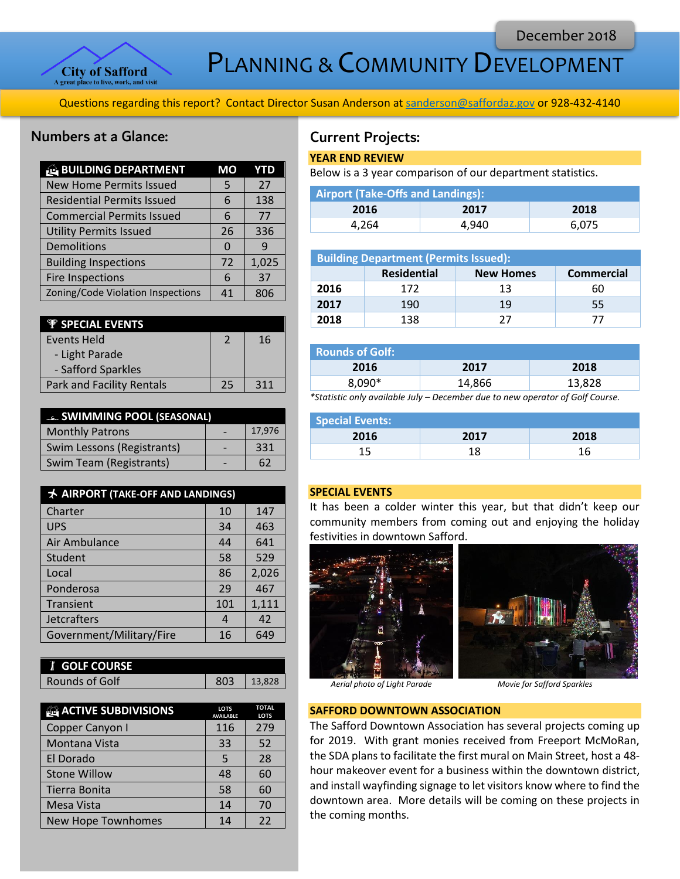

PLANNING & COMMUNITY DEVELOPMENT

Questions regarding this report? Contact Director Susan Anderson a[t sanderson@saffordaz.gov](mailto:sanderson@saffordaz.gov) or 928-432-4140

# Numbers at a Glance:

| <b>BUILDING DEPARTMENT</b>        | MО | YTD   |
|-----------------------------------|----|-------|
| <b>New Home Permits Issued</b>    | 5  | 27    |
| <b>Residential Permits Issued</b> | 6  | 138   |
| <b>Commercial Permits Issued</b>  | 6  | 77    |
| <b>Utility Permits Issued</b>     | 26 | 336   |
| Demolitions                       | O  | q     |
| <b>Building Inspections</b>       | 72 | 1,025 |
| <b>Fire Inspections</b>           | 6  | 37    |
| Zoning/Code Violation Inspections | 41 | 806   |

| <b><i>W</i></b> SPECIAL EVENTS   |               |     |
|----------------------------------|---------------|-----|
| Events Held                      | $\mathcal{P}$ | 16  |
| - Light Parade                   |               |     |
| - Safford Sparkles               |               |     |
| <b>Park and Facility Rentals</b> | 25            | 311 |

| <b>EL SWIMMING POOL (SEASONAL)</b> |  |        |  |
|------------------------------------|--|--------|--|
| <b>Monthly Patrons</b>             |  | 17,976 |  |
| Swim Lessons (Registrants)         |  | 331    |  |
| Swim Team (Registrants)            |  | 62     |  |

| <b>★ AIRPORT (TAKE-OFF AND LANDINGS)</b> |       |  |  |
|------------------------------------------|-------|--|--|
| 10                                       | 147   |  |  |
| 34                                       | 463   |  |  |
| 44                                       | 641   |  |  |
| 58                                       | 529   |  |  |
| 86                                       | 2,026 |  |  |
| 29                                       | 467   |  |  |
| 101                                      | 1,111 |  |  |
| 4                                        | 42    |  |  |
| 16                                       | 649   |  |  |
|                                          |       |  |  |

| <b><i>i</i></b> GOLF COURSE |     |        |
|-----------------------------|-----|--------|
| Rounds of Golf              | ହଠା | 13.828 |

| <b>ACTIVE SUBDIVISIONS</b> | <b>LOTS</b><br><b>AVAILABLE</b> | <b>TOTAL</b><br><b>LOTS</b> |
|----------------------------|---------------------------------|-----------------------------|
| Copper Canyon I            | 116                             | 279                         |
| Montana Vista              | 33                              | 52                          |
| El Dorado                  | 5                               | 28                          |
| <b>Stone Willow</b>        | 48                              | 60                          |
| Tierra Bonita              | 58                              | 60                          |
| Mesa Vista                 | 14                              | 70                          |
| <b>New Hope Townhomes</b>  | 14                              | 22                          |

# Current Projects:

### **YEAR END REVIEW**

Below is a 3 year comparison of our department statistics.

| <b>Airport (Take-Offs and Landings):</b> |       |       |  |
|------------------------------------------|-------|-------|--|
| 2016                                     | 2017  | 2018  |  |
| 4.264                                    | 4.940 | 6.075 |  |

| <b>Building Department (Permits Issued):</b> |                    |                  |                   |
|----------------------------------------------|--------------------|------------------|-------------------|
|                                              | <b>Residential</b> | <b>New Homes</b> | <b>Commercial</b> |
| 2016                                         | 172                | 13               | 60                |
| 2017                                         | 190                | 19               | 55                |
| 2018                                         | 138                | 77               |                   |

| <b>Rounds of Golf:</b> |        |                                    |
|------------------------|--------|------------------------------------|
| 2016                   | 2017   | 2018                               |
| $8,090*$               | 14,866 | 13,828                             |
|                        |        | $\sim$ $\sim$ $\sim$ $\sim$ $\sim$ |

*\*Statistic only available July – December due to new operator of Golf Course.* 

| <b>Special Events:</b> |      |      |
|------------------------|------|------|
| 2016                   | 2017 | 2018 |
|                        |      | 16   |

# **SPECIAL EVENTS**

It has been a colder winter this year, but that didn't keep our community members from coming out and enjoying the holiday festivities in downtown Safford.



*Aerial photo of Light Parade Movie for Safford Sparkles*

## **SAFFORD DOWNTOWN ASSOCIATION**

The Safford Downtown Association has several projects coming up for 2019. With grant monies received from Freeport McMoRan, the SDA plans to facilitate the first mural on Main Street, host a 48 hour makeover event for a business within the downtown district, and install wayfinding signage to let visitors know where to find the downtown area. More details will be coming on these projects in the coming months.